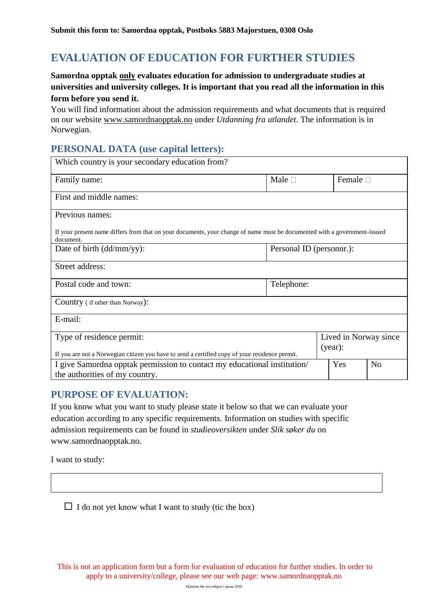# **EVALUATION OF EDUCATION FOR FURTHER STUDIES**

#### **Samordna opptak only evaluates education for admission to undergraduate studies at universities and university colleges. It is important that you read all the information in this form before you send it.**

You will find information about the admission requirements and what documents that is required on our website [www.samordnaopptak.no](http://www.samordnaopptak.no/) under *Utdanning fra utlandet*. The information is in Norwegian.

### **PERSONAL DATA (use capital letters):**

| Which country is your secondary education from?                                                                                        |                          |                  |                |  |  |  |  |  |
|----------------------------------------------------------------------------------------------------------------------------------------|--------------------------|------------------|----------------|--|--|--|--|--|
| Family name:                                                                                                                           | Male $\square$           | Female $\square$ |                |  |  |  |  |  |
| First and middle names:                                                                                                                |                          |                  |                |  |  |  |  |  |
| Previous names:                                                                                                                        |                          |                  |                |  |  |  |  |  |
| If your present name differs from that on your documents, your change of name must be documented with a government-issued<br>document. |                          |                  |                |  |  |  |  |  |
| Date of birth (dd/mm/yy):                                                                                                              | Personal ID (personnr.): |                  |                |  |  |  |  |  |
| Street address:                                                                                                                        |                          |                  |                |  |  |  |  |  |
| Postal code and town:                                                                                                                  | Telephone:               |                  |                |  |  |  |  |  |
| Country (if other than Norway):                                                                                                        |                          |                  |                |  |  |  |  |  |
| E-mail:                                                                                                                                |                          |                  |                |  |  |  |  |  |
| Type of residence permit:                                                                                                              | Lived in Norway since    |                  |                |  |  |  |  |  |
| (year):<br>If you are not a Norwegian citizen you have to send a certified copy of your residence permit.                              |                          |                  |                |  |  |  |  |  |
| I give Samordna opptak permission to contact my educational institution/<br>the authorities of my country.                             |                          |                  | N <sub>o</sub> |  |  |  |  |  |

## **PURPOSE OF EVALUATION:**

If you know what you want to study please state it below so that we can evaluate your education according to any specific requirements. Information on studies with specific admission requirements can be found in *studieoversikten* under *Slik søker du* on www.samordnaopptak.no.

I want to study:

 $\Box$  I do not yet know what I want to study (tic the box)

This is not an application form but a form for evaluation of education for further studies. In order to apply to a university/college, please see our web page: www.samordnaopptak.no